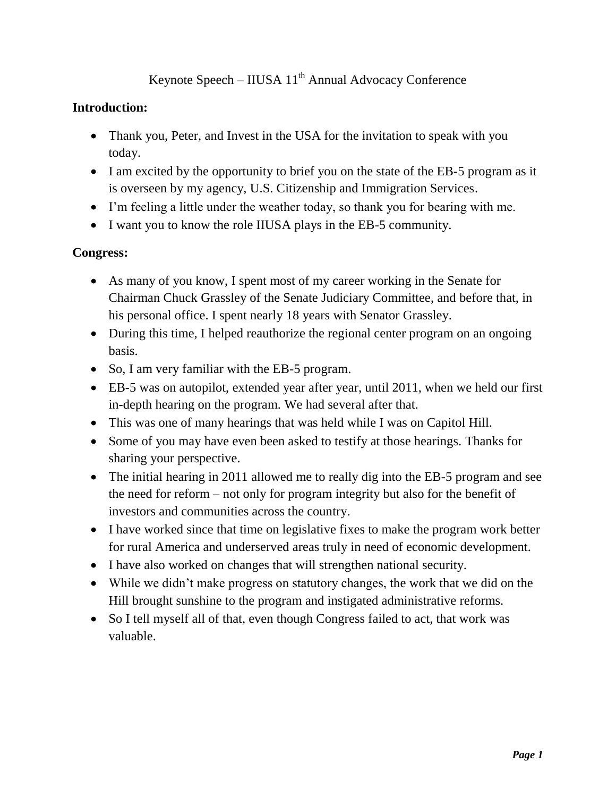# Keynote Speech – IIUSA  $11<sup>th</sup>$  Annual Advocacy Conference

## **Introduction:**

- Thank you, Peter, and Invest in the USA for the invitation to speak with you today.
- I am excited by the opportunity to brief you on the state of the EB-5 program as it is overseen by my agency, U.S. Citizenship and Immigration Services.
- I'm feeling a little under the weather today, so thank you for bearing with me.
- I want you to know the role IIUSA plays in the EB-5 community.

## **Congress:**

- As many of you know, I spent most of my career working in the Senate for Chairman Chuck Grassley of the Senate Judiciary Committee, and before that, in his personal office. I spent nearly 18 years with Senator Grassley.
- During this time, I helped reauthorize the regional center program on an ongoing basis.
- So, I am very familiar with the EB-5 program.
- EB-5 was on autopilot, extended year after year, until 2011, when we held our first in-depth hearing on the program. We had several after that.
- This was one of many hearings that was held while I was on Capitol Hill.
- Some of you may have even been asked to testify at those hearings. Thanks for sharing your perspective.
- The initial hearing in 2011 allowed me to really dig into the EB-5 program and see the need for reform – not only for program integrity but also for the benefit of investors and communities across the country.
- I have worked since that time on legislative fixes to make the program work better for rural America and underserved areas truly in need of economic development.
- I have also worked on changes that will strengthen national security.
- While we didn't make progress on statutory changes, the work that we did on the Hill brought sunshine to the program and instigated administrative reforms.
- So I tell myself all of that, even though Congress failed to act, that work was valuable.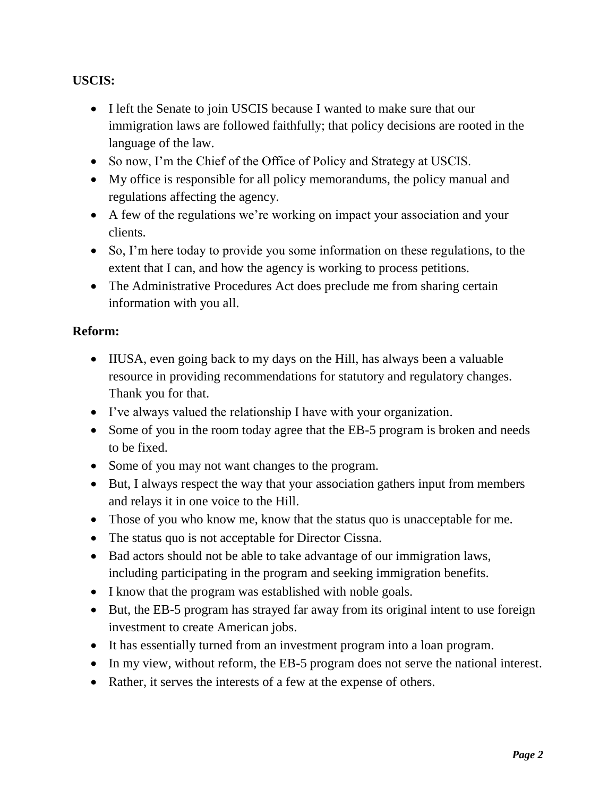## **USCIS:**

- I left the Senate to join USCIS because I wanted to make sure that our immigration laws are followed faithfully; that policy decisions are rooted in the language of the law.
- So now, I'm the Chief of the Office of Policy and Strategy at USCIS.
- My office is responsible for all policy memorandums, the policy manual and regulations affecting the agency.
- A few of the regulations we're working on impact your association and your clients.
- So, I'm here today to provide you some information on these regulations, to the extent that I can, and how the agency is working to process petitions.
- The Administrative Procedures Act does preclude me from sharing certain information with you all.

## **Reform:**

- IIUSA, even going back to my days on the Hill, has always been a valuable resource in providing recommendations for statutory and regulatory changes. Thank you for that.
- I've always valued the relationship I have with your organization.
- Some of you in the room today agree that the EB-5 program is broken and needs to be fixed.
- Some of you may not want changes to the program.
- But, I always respect the way that your association gathers input from members and relays it in one voice to the Hill.
- Those of you who know me, know that the status quo is unacceptable for me.
- The status quo is not acceptable for Director Cissna.
- Bad actors should not be able to take advantage of our immigration laws, including participating in the program and seeking immigration benefits.
- I know that the program was established with noble goals.
- But, the EB-5 program has strayed far away from its original intent to use foreign investment to create American jobs.
- It has essentially turned from an investment program into a loan program.
- In my view, without reform, the EB-5 program does not serve the national interest.
- Rather, it serves the interests of a few at the expense of others.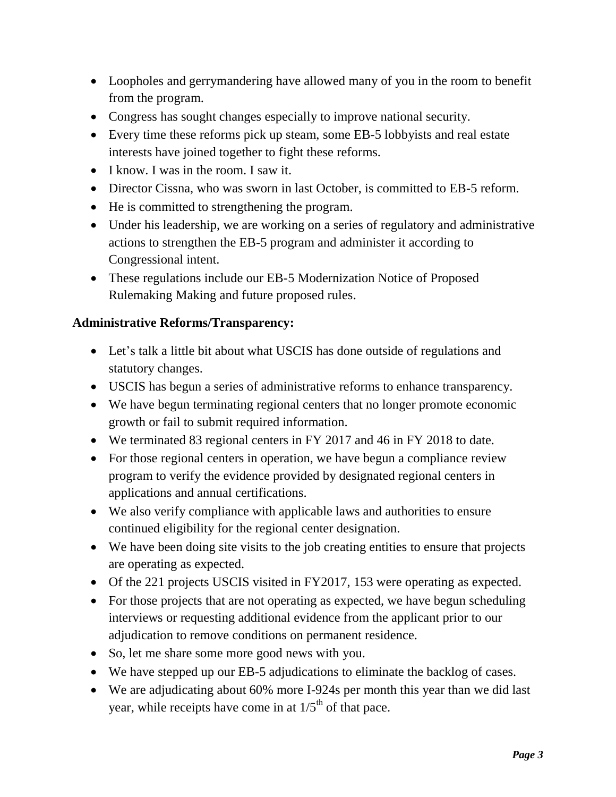- Loopholes and gerrymandering have allowed many of you in the room to benefit from the program.
- Congress has sought changes especially to improve national security.
- Every time these reforms pick up steam, some EB-5 lobbyists and real estate interests have joined together to fight these reforms.
- I know. I was in the room. I saw it.
- Director Cissna, who was sworn in last October, is committed to EB-5 reform.
- He is committed to strengthening the program.
- Under his leadership, we are working on a series of regulatory and administrative actions to strengthen the EB-5 program and administer it according to Congressional intent.
- These regulations include our EB-5 Modernization Notice of Proposed Rulemaking Making and future proposed rules.

## **Administrative Reforms/Transparency:**

- Let's talk a little bit about what USCIS has done outside of regulations and statutory changes.
- USCIS has begun a series of administrative reforms to enhance transparency.
- We have begun terminating regional centers that no longer promote economic growth or fail to submit required information.
- We terminated 83 regional centers in FY 2017 and 46 in FY 2018 to date.
- For those regional centers in operation, we have begun a compliance review program to verify the evidence provided by designated regional centers in applications and annual certifications.
- We also verify compliance with applicable laws and authorities to ensure continued eligibility for the regional center designation.
- We have been doing site visits to the job creating entities to ensure that projects are operating as expected.
- Of the 221 projects USCIS visited in FY2017, 153 were operating as expected.
- For those projects that are not operating as expected, we have begun scheduling interviews or requesting additional evidence from the applicant prior to our adjudication to remove conditions on permanent residence.
- So, let me share some more good news with you.
- We have stepped up our EB-5 adjudications to eliminate the backlog of cases.
- We are adjudicating about 60% more I-924s per month this year than we did last year, while receipts have come in at  $1/5<sup>th</sup>$  of that pace.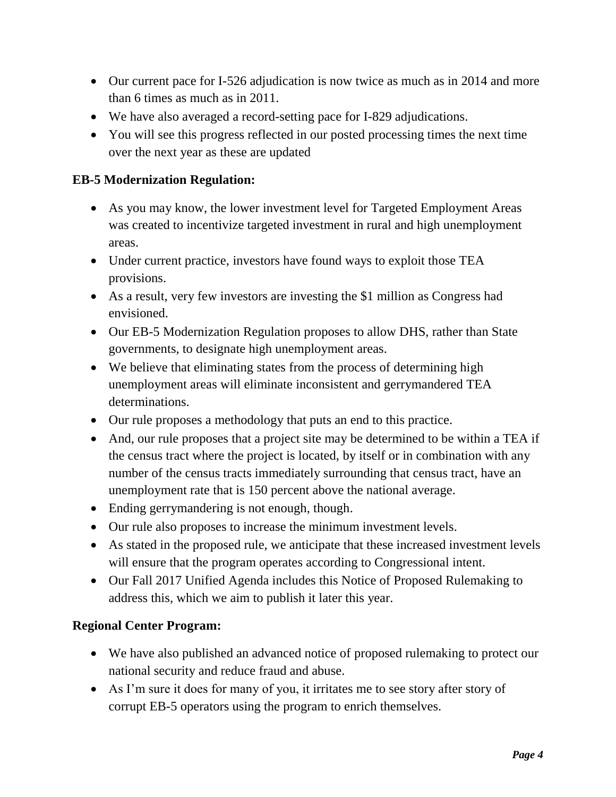- Our current pace for I-526 adjudication is now twice as much as in 2014 and more than 6 times as much as in 2011.
- We have also averaged a record-setting pace for I-829 adjudications.
- You will see this progress reflected in our posted processing times the next time over the next year as these are updated

#### **EB-5 Modernization Regulation:**

- As you may know, the lower investment level for Targeted Employment Areas was created to incentivize targeted investment in rural and high unemployment areas.
- Under current practice, investors have found ways to exploit those TEA provisions.
- As a result, very few investors are investing the \$1 million as Congress had envisioned.
- Our EB-5 Modernization Regulation proposes to allow DHS, rather than State governments, to designate high unemployment areas.
- We believe that eliminating states from the process of determining high unemployment areas will eliminate inconsistent and gerrymandered TEA determinations.
- Our rule proposes a methodology that puts an end to this practice.
- And, our rule proposes that a project site may be determined to be within a TEA if the census tract where the project is located, by itself or in combination with any number of the census tracts immediately surrounding that census tract, have an unemployment rate that is 150 percent above the national average.
- Ending gerrymandering is not enough, though.
- Our rule also proposes to increase the minimum investment levels.
- As stated in the proposed rule, we anticipate that these increased investment levels will ensure that the program operates according to Congressional intent.
- Our Fall 2017 Unified Agenda includes this Notice of Proposed Rulemaking to address this, which we aim to publish it later this year.

#### **Regional Center Program:**

- We have also published an advanced notice of proposed rulemaking to protect our national security and reduce fraud and abuse.
- As I'm sure it does for many of you, it irritates me to see story after story of corrupt EB-5 operators using the program to enrich themselves.